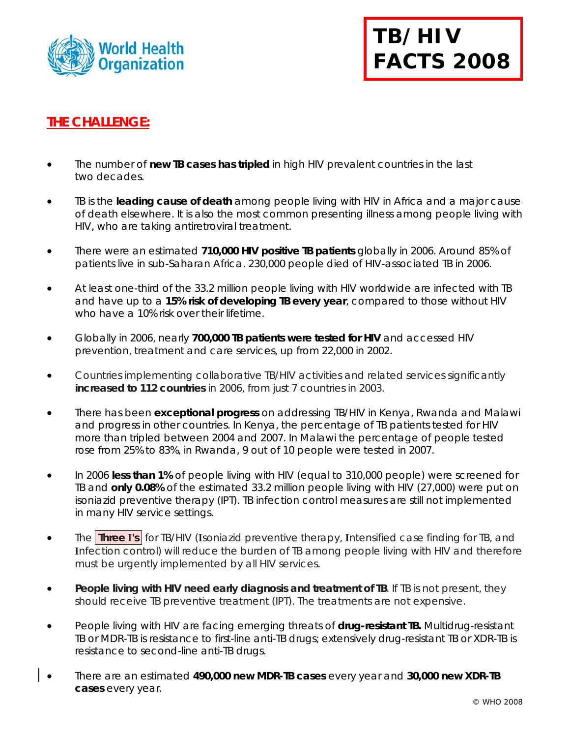



## **THE CHALLENGE:**

- The number of **new TB cases has tripled** in high HIV prevalent countries in the last two decades.
- TB is the **leading cause of death** among people living with HIV in Africa and a major cause of death elsewhere. It is also the most common presenting illness among people living with HIV, who are taking antiretroviral treatment.
- There were an estimated **710,000 HIV positive TB patients** globally in 2006. Around 85% of patients live in sub-Saharan Africa. 230,000 people died of HIV-associated TB in 2006.
- At least one-third of the 33.2 million people living with HIV worldwide are infected with TB and have up to a **15% risk of developing TB every year**, compared to those without HIV who have a 10% risk over their lifetime.
- Globally in 2006, nearly **700,000 TB patients were tested for HIV** and accessed HIV prevention, treatment and care services, up from 22,000 in 2002.
- Countries implementing collaborative TB/HIV activities and related services significantly **increased to 112 countries** in 2006, from just 7 countries in 2003.
- There has been **exceptional progress** on addressing TB/HIV in Kenya, Rwanda and Malawi and progress in other countries. In Kenya, the percentage of TB patients tested for HIV more than tripled between 2004 and 2007. In Malawi the percentage of people tested rose from 25% to 83%, in Rwanda, 9 out of 10 people were tested in 2007.
- In 2006 **less than 1%** of people living with HIV (equal to 310,000 people) were screened for TB and **only 0.08%** of the estimated 33.2 million people living with HIV (27,000) were put on isoniazid preventive therapy (IPT). TB infection control measures are still not implemented in many HIV service settings.
- The **Three I's** for TB/HIV (**I**soniazid preventive therapy, **I**ntensified case finding for TB, and **I**nfection control) will reduce the burden of TB among people living with HIV and therefore must be urgently implemented by all HIV services.
- **People living with HIV need early diagnosis and treatment of TB**. If TB is not present, they should receive TB preventive treatment (IPT). The treatments are not expensive.
- People living with HIV are facing emerging threats of **drug-resistant TB.** Multidrug-resistant TB or MDR-TB is resistance to first-line anti-TB drugs; extensively drug-resistant TB or XDR-TB is resistance to second-line anti-TB drugs.
- There are an estimated **490,000 new MDR-TB cases** every year and **30,000 new XDR-TB cases** every year.